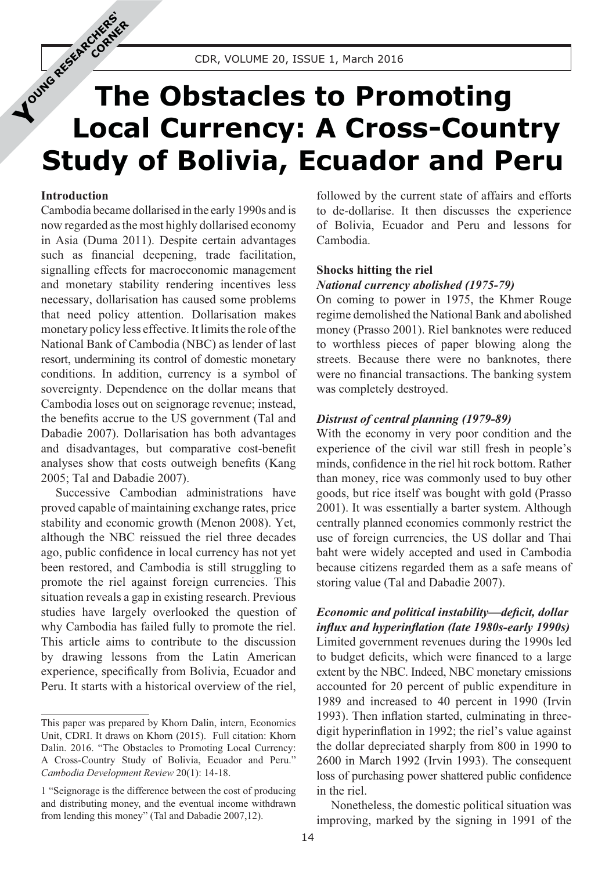# **The Obstacles to Promoting Local Currency: A Cross-Country Study of Bolivia, Ecuador and Peru YOUNG RESEARCHERS'S**

## **Introduction**

**CORNER** 

Cambodia became dollarised in the early 1990s and is now regarded as the most highly dollarised economy in Asia (Duma 2011). Despite certain advantages such as financial deepening, trade facilitation, signalling effects for macroeconomic management and monetary stability rendering incentives less necessary, dollarisation has caused some problems that need policy attention. Dollarisation makes monetary policy less effective. It limits the role of the National Bank of Cambodia (NBC) as lender of last resort, undermining its control of domestic monetary conditions. In addition, currency is a symbol of sovereignty. Dependence on the dollar means that Cambodia loses out on seignorage revenue; instead, the benefits accrue to the US government (Tal and Dabadie 2007). Dollarisation has both advantages and disadvantages, but comparative cost-benefit analyses show that costs outweigh benefits (Kang 2005; Tal and Dabadie 2007).

Successive Cambodian administrations have proved capable of maintaining exchange rates, price stability and economic growth (Menon 2008). Yet, although the NBC reissued the riel three decades ago, public confidence in local currency has not yet been restored, and Cambodia is still struggling to promote the riel against foreign currencies. This situation reveals a gap in existing research. Previous studies have largely overlooked the question of why Cambodia has failed fully to promote the riel. This article aims to contribute to the discussion by drawing lessons from the Latin American experience, specifically from Bolivia, Ecuador and Peru. It starts with a historical overview of the riel,

followed by the current state of affairs and efforts to de-dollarise. It then discusses the experience of Bolivia, Ecuador and Peru and lessons for Cambodia.

# **Shocks hitting the riel**

## *National currency abolished (1975-79)*

On coming to power in 1975, the Khmer Rouge regime demolished the National Bank and abolished money (Prasso 2001). Riel banknotes were reduced to worthless pieces of paper blowing along the streets. Because there were no banknotes, there were no financial transactions. The banking system was completely destroyed.

#### *Distrust of central planning (1979-89)*

With the economy in very poor condition and the experience of the civil war still fresh in people's minds, confidence in the riel hit rock bottom. Rather than money, rice was commonly used to buy other goods, but rice itself was bought with gold (Prasso 2001). It was essentially a barter system. Although centrally planned economies commonly restrict the use of foreign currencies, the US dollar and Thai baht were widely accepted and used in Cambodia because citizens regarded them as a safe means of storing value (Tal and Dabadie 2007).

*Economic and political instability—deficit, dollar influx and hyperinflation (late 1980s-early 1990s)* Limited government revenues during the 1990s led to budget deficits, which were financed to a large extent by the NBC. Indeed, NBC monetary emissions accounted for 20 percent of public expenditure in 1989 and increased to 40 percent in 1990 (Irvin 1993). Then inflation started, culminating in threedigit hyperinflation in 1992; the riel's value against the dollar depreciated sharply from 800 in 1990 to 2600 in March 1992 (Irvin 1993). The consequent loss of purchasing power shattered public confidence in the riel.

Nonetheless, the domestic political situation was improving, marked by the signing in 1991 of the

This paper was prepared by Khorn Dalin, intern, Economics Unit, CDRI. It draws on Khorn (2015). Full citation: Khorn Dalin. 2016. "The Obstacles to Promoting Local Currency: A Cross-Country Study of Bolivia, Ecuador and Peru." *Cambodia Development Review* 20(1): 14-18.

<sup>1 &</sup>quot;Seignorage is the difference between the cost of producing and distributing money, and the eventual income withdrawn from lending this money" (Tal and Dabadie 2007,12).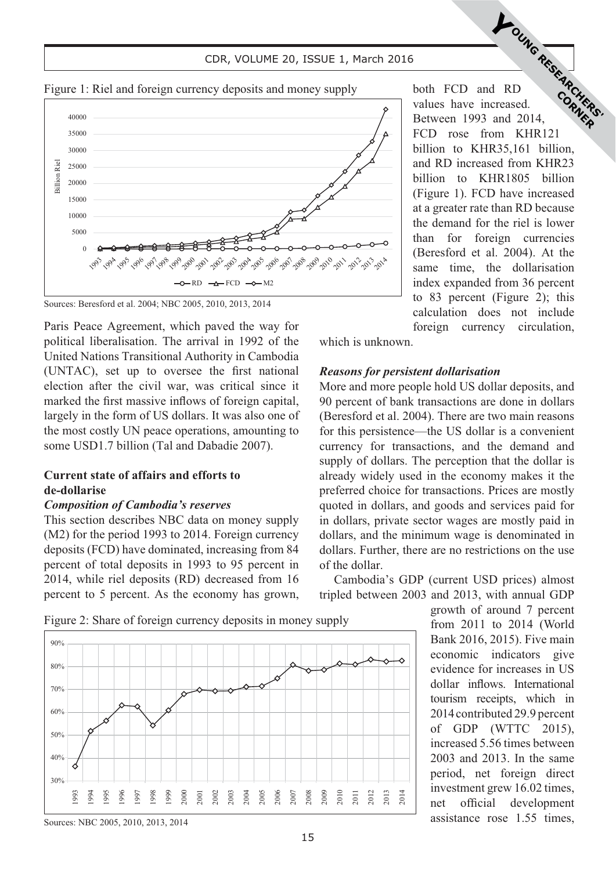#### **CDR, VOLUME 20, ISSUE 1, March 2016 CDR, VOLUME 20, ISSUE 1, March 2016**



Figure 1: Riel and foreign currency deposits and money supply



Paris Peace Agreement, which paved the way for political liberalisation. The arrival in 1992 of the United Nations Transitional Authority in Cambodia (UNTAC), set up to oversee the first national election after the civil war, was critical since it marked the first massive inflows of foreign capital, largely in the form of US dollars. It was also one of the most costly UN peace operations, amounting to some USD1.7 billion (Tal and Dabadie 2007).

# **Current state of affairs and efforts to de-dollarise**

## *Composition of Cambodia's reserves*

This section describes NBC data on money supply (M2) for the period 1993 to 2014. Foreign currency deposits (FCD) have dominated, increasing from 84 percent of total deposits in 1993 to 95 percent in 2014, while riel deposits (RD) decreased from 16 percent to 5 percent. As the economy has grown,

both FCD and RD values have increased. Between 1993 and 2014, FCD rose from KHR121 billion to KHR35,161 billion, and RD increased from KHR23 billion to KHR1805 billion (Figure 1). FCD have increased at a greater rate than RD because the demand for the riel is lower than for foreign currencies (Beresford et al. 2004). At the same time, the dollarisation index expanded from 36 percent to 83 percent (Figure 2); this calculation does not include foreign currency circulation, **YOUNG RESEARCHERS** 

which is unknown.

## *Reasons for persistent dollarisation*

More and more people hold US dollar deposits, and 90 percent of bank transactions are done in dollars (Beresford et al. 2004). There are two main reasons for this persistence—the US dollar is a convenient currency for transactions, and the demand and supply of dollars. The perception that the dollar is already widely used in the economy makes it the preferred choice for transactions. Prices are mostly quoted in dollars, and goods and services paid for in dollars, private sector wages are mostly paid in dollars, and the minimum wage is denominated in dollars. Further, there are no restrictions on the use of the dollar.

Cambodia's GDP (current USD prices) almost tripled between 2003 and 2013, with annual GDP

> growth of around 7 percent from 2011 to 2014 (World Bank 2016, 2015). Five main economic indicators give evidence for increases in US dollar inflows. International tourism receipts, which in 2014 contributed 29.9 percent of GDP (WTTC 2015), increased 5.56 times between 2003 and 2013. In the same period, net foreign direct investment grew 16.02 times, net official development assistance rose 1.55 times,

Figure 2: Share of foreign currency deposits in money supply



30%

40%

50%

60%

70%

80%

90%

2007 2008 2009 2010 2011 2012 2013 2014

2004 2005 2006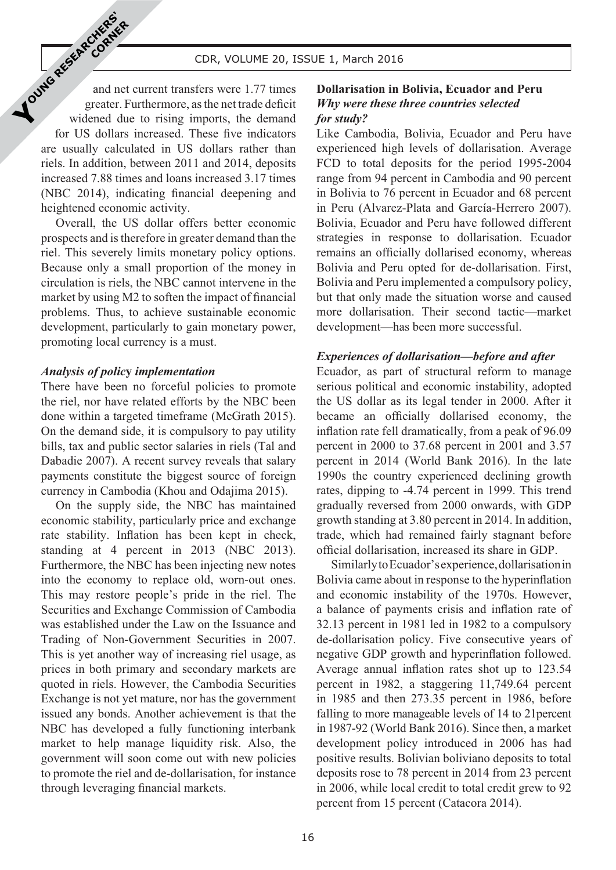$\mathcal{L}$   $\mathcal{L}$  CDR, VOLUME 20, ISSUE 1, March 2016

and net current transfers were 1.77 times greater. Furthermore, as the net trade deficit widened due to rising imports, the demand for US dollars increased. These five indicators are usually calculated in US dollars rather than riels. In addition, between 2011 and 2014, deposits increased 7.88 times and loans increased 3.17 times (NBC 2014), indicating financial deepening and heightened economic activity. **YOUNG RESEARCHERS'S** 

**CORNER** 

Overall, the US dollar offers better economic prospects and is therefore in greater demand than the riel. This severely limits monetary policy options. Because only a small proportion of the money in circulation is riels, the NBC cannot intervene in the market by using M2 to soften the impact of financial problems. Thus, to achieve sustainable economic development, particularly to gain monetary power, promoting local currency is a must.

## *Analysis of polic***y** *implementation*

There have been no forceful policies to promote the riel, nor have related efforts by the NBC been done within a targeted timeframe (McGrath 2015). On the demand side, it is compulsory to pay utility bills, tax and public sector salaries in riels (Tal and Dabadie 2007). A recent survey reveals that salary payments constitute the biggest source of foreign currency in Cambodia (Khou and Odajima 2015).

On the supply side, the NBC has maintained economic stability, particularly price and exchange rate stability. Inflation has been kept in check, standing at 4 percent in 2013 (NBC 2013). Furthermore, the NBC has been injecting new notes into the economy to replace old, worn-out ones. This may restore people's pride in the riel. The Securities and Exchange Commission of Cambodia was established under the Law on the Issuance and Trading of Non-Government Securities in 2007. This is yet another way of increasing riel usage, as prices in both primary and secondary markets are quoted in riels. However, the Cambodia Securities Exchange is not yet mature, nor has the government issued any bonds. Another achievement is that the NBC has developed a fully functioning interbank market to help manage liquidity risk. Also, the government will soon come out with new policies to promote the riel and de-dollarisation, for instance through leveraging financial markets.

# **Dollarisation in Bolivia, Ecuador and Peru** *Why were these three countries selected for study?*

Like Cambodia, Bolivia, Ecuador and Peru have experienced high levels of dollarisation. Average FCD to total deposits for the period 1995-2004 range from 94 percent in Cambodia and 90 percent in Bolivia to 76 percent in Ecuador and 68 percent in Peru (Alvarez-Plata and García-Herrero 2007). Bolivia, Ecuador and Peru have followed different strategies in response to dollarisation. Ecuador remains an officially dollarised economy, whereas Bolivia and Peru opted for de-dollarisation. First, Bolivia and Peru implemented a compulsory policy, but that only made the situation worse and caused more dollarisation. Their second tactic—market development—has been more successful.

# *Experiences of dollarisation—before and after*

Ecuador, as part of structural reform to manage serious political and economic instability, adopted the US dollar as its legal tender in 2000. After it became an officially dollarised economy, the inflation rate fell dramatically, from a peak of 96.09 percent in 2000 to 37.68 percent in 2001 and 3.57 percent in 2014 (World Bank 2016). In the late 1990s the country experienced declining growth rates, dipping to -4.74 percent in 1999. This trend gradually reversed from 2000 onwards, with GDP growth standing at 3.80 percent in 2014. In addition, trade, which had remained fairly stagnant before official dollarisation, increased its share in GDP.

Similarly to Ecuador's experience, dollarisation in Bolivia came about in response to the hyperinflation and economic instability of the 1970s. However, a balance of payments crisis and inflation rate of 32.13 percent in 1981 led in 1982 to a compulsory de-dollarisation policy. Five consecutive years of negative GDP growth and hyperinflation followed. Average annual inflation rates shot up to 123.54 percent in 1982, a staggering 11,749.64 percent in 1985 and then 273.35 percent in 1986, before falling to more manageable levels of 14 to 21percent in 1987-92 (World Bank 2016). Since then, a market development policy introduced in 2006 has had positive results. Bolivian boliviano deposits to total deposits rose to 78 percent in 2014 from 23 percent in 2006, while local credit to total credit grew to 92 percent from 15 percent (Catacora 2014).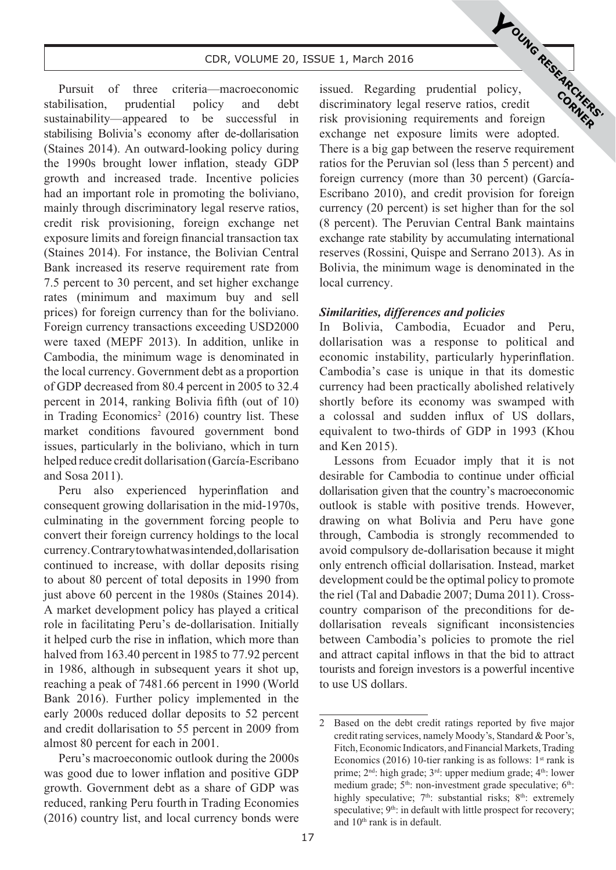#### **CDR, VOLUME 20, ISSUE 1, March 2016 CDR, VOLUME 20, ISSUE 1, March 2016**

Pursuit of three criteria—macroeconomic stabilisation, prudential policy and debt sustainability—appeared to be successful in stabilising Bolivia's economy after de-dollarisation (Staines 2014). An outward-looking policy during the 1990s brought lower inflation, steady GDP growth and increased trade. Incentive policies had an important role in promoting the boliviano, mainly through discriminatory legal reserve ratios, credit risk provisioning, foreign exchange net exposure limits and foreign financial transaction tax (Staines 2014). For instance, the Bolivian Central Bank increased its reserve requirement rate from 7.5 percent to 30 percent, and set higher exchange rates (minimum and maximum buy and sell prices) for foreign currency than for the boliviano. Foreign currency transactions exceeding USD2000 were taxed (MEPF 2013). In addition, unlike in Cambodia, the minimum wage is denominated in the local currency. Government debt as a proportion of GDP decreased from 80.4 percent in 2005 to 32.4 percent in 2014, ranking Bolivia fifth (out of 10) in Trading Economics<sup>2</sup> (2016) country list. These market conditions favoured government bond issues, particularly in the boliviano, which in turn helped reduce credit dollarisation (García-Escribano and Sosa 2011).

Peru also experienced hyperinflation and consequent growing dollarisation in the mid-1970s, culminating in the government forcing people to convert their foreign currency holdings to the local currency. Contrary to what was intended, dollarisation continued to increase, with dollar deposits rising to about 80 percent of total deposits in 1990 from just above 60 percent in the 1980s (Staines 2014). A market development policy has played a critical role in facilitating Peru's de-dollarisation. Initially it helped curb the rise in inflation, which more than halved from 163.40 percent in 1985 to 77.92 percent in 1986, although in subsequent years it shot up, reaching a peak of 7481.66 percent in 1990 (World Bank 2016). Further policy implemented in the early 2000s reduced dollar deposits to 52 percent and credit dollarisation to 55 percent in 2009 from almost 80 percent for each in 2001.

Peru's macroeconomic outlook during the 2000s was good due to lower inflation and positive GDP growth. Government debt as a share of GDP was reduced, ranking Peru fourth in Trading Economies (2016) country list, and local currency bonds were issued. Regarding prudential policy, discriminatory legal reserve ratios, credit risk provisioning requirements and foreign exchange net exposure limits were adopted. There is a big gap between the reserve requirement ratios for the Peruvian sol (less than 5 percent) and foreign currency (more than 30 percent) (García-Escribano 2010), and credit provision for foreign currency (20 percent) is set higher than for the sol (8 percent). The Peruvian Central Bank maintains exchange rate stability by accumulating international reserves (Rossini, Quispe and Serrano 2013). As in Bolivia, the minimum wage is denominated in the local currency. **YOUNG RESEARCHERS**<br>policy, policy, correctly

#### *Similarities, differences and policies*

In Bolivia, Cambodia, Ecuador and Peru, dollarisation was a response to political and economic instability, particularly hyperinflation. Cambodia's case is unique in that its domestic currency had been practically abolished relatively shortly before its economy was swamped with a colossal and sudden influx of US dollars, equivalent to two-thirds of GDP in 1993 (Khou and Ken 2015).

Lessons from Ecuador imply that it is not desirable for Cambodia to continue under official dollarisation given that the country's macroeconomic outlook is stable with positive trends. However, drawing on what Bolivia and Peru have gone through, Cambodia is strongly recommended to avoid compulsory de-dollarisation because it might only entrench official dollarisation. Instead, market development could be the optimal policy to promote the riel (Tal and Dabadie 2007; Duma 2011). Crosscountry comparison of the preconditions for dedollarisation reveals significant inconsistencies between Cambodia's policies to promote the riel and attract capital inflows in that the bid to attract tourists and foreign investors is a powerful incentive to use US dollars.

<sup>2</sup> Based on the debt credit ratings reported by five major credit rating services, namely Moody's, Standard & Poor's, Fitch, Economic Indicators, and Financial Markets, Trading Economics (2016) 10-tier ranking is as follows:  $1<sup>st</sup>$  rank is prime; 2<sup>nd</sup>: high grade; 3<sup>rd</sup>: upper medium grade; 4<sup>th</sup>: lower medium grade; 5<sup>th</sup>: non-investment grade speculative; 6<sup>th</sup>: highly speculative;  $7<sup>th</sup>$ : substantial risks;  $8<sup>th</sup>$ : extremely speculative; 9<sup>th</sup>: in default with little prospect for recovery; and 10th rank is in default.